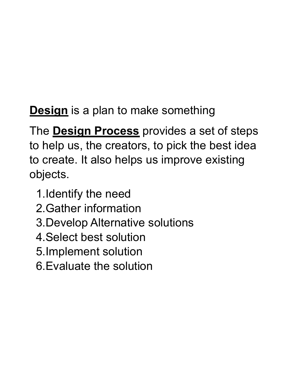**Design** is a plan to make something

The **Design Process** provides a set of steps to help us, the creators, to pick the best idea to create. It also helps us improve existing objects.

- 1.Identify the need
- 2.Gather information
- 3.Develop Alternative solutions
- 4.Select best solution
- 5.Implement solution
- 6.Evaluate the solution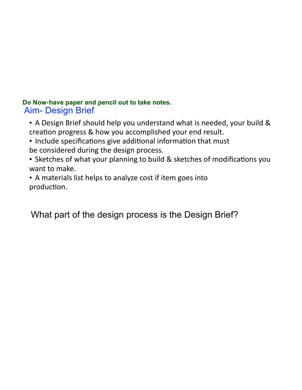## **Do Now-have paper and pencil out to take notes.** Aim- Design Brief

- A Design Brief should help you understand what is needed, your build & creation progress & how you accomplished your end result.
- Include specifications give additional information that must be considered during the design process.
- Sketches of what your planning to build & sketches of modifications you want to make.
- A materials list helps to analyze cost if item goes into production.

What part of the design process is the Design Brief?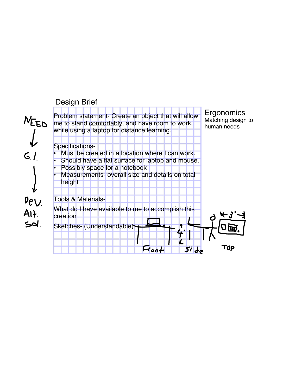## Design Brief